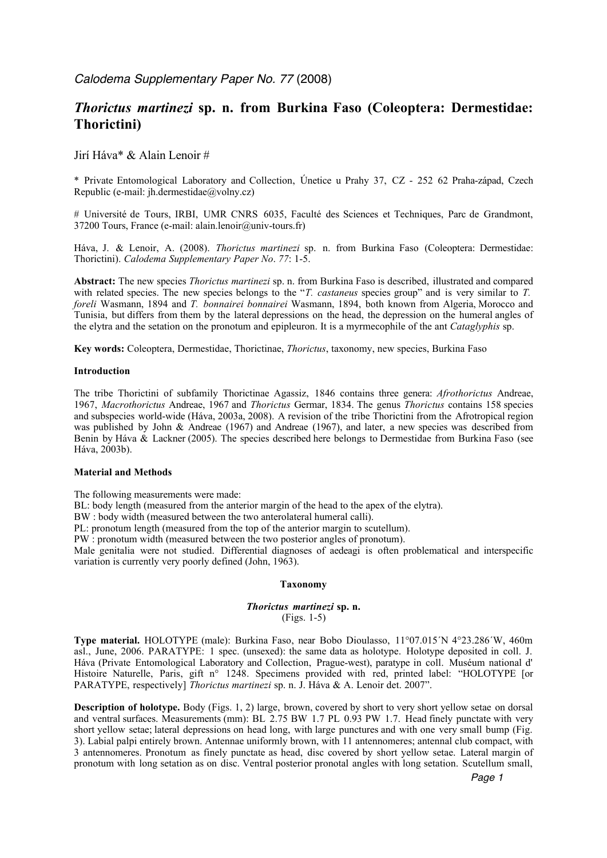# *Thorictus martinezi* **sp. n. from Burkina Faso (Coleoptera: Dermestidae: Thorictini)**

### Jirí Háva\* & Alain Lenoir #

\* Private Entomological Laboratory and Collection, Únetice u Prahy 37, CZ - 252 62 Praha-západ, Czech Republic (e-mail: jh.dermestidae $@$ volny.cz)

# Université de Tours, IRBI, UMR CNRS 6035, Faculté des Sciences et Techniques, Parc de Grandmont, 37200 Tours, France (e-mail: alain.lenoir@univ-tours.fr)

Háva, J. & Lenoir, A. (2008). *Thorictus martinezi* sp. n. from Burkina Faso (Coleoptera: Dermestidae: Thorictini). *Calodema Supplementary Paper No*. *77*: 1-5.

**Abstract:** The new species *Thorictus martinezi* sp. n. from Burkina Faso is described, illustrated and compared with related species. The new species belongs to the "*T. castaneus* species group" and is very similar to *T. foreli* Wasmann, 1894 and *T. bonnairei bonnairei* Wasmann, 1894, both known from Algeria, Morocco and Tunisia, but differs from them by the lateral depressions on the head, the depression on the humeral angles of the elytra and the setation on the pronotum and epipleuron. It is a myrmecophile of the ant *Cataglyphis* sp.

**Key words:** Coleoptera, Dermestidae, Thorictinae, *Thorictus*, taxonomy, new species, Burkina Faso

### **Introduction**

The tribe Thorictini of subfamily Thorictinae Agassiz, 1846 contains three genera: *Afrothorictus* Andreae, 1967, *Macrothorictus* Andreae, 1967 and *Thorictus* Germar, 1834. The genus *Thorictus* contains 158 species and subspecies world-wide (Háva, 2003a, 2008). A revision of the tribe Thorictini from the Afrotropical region was published by John & Andreae (1967) and Andreae (1967), and later, a new species was described from Benin by Háva & Lackner (2005). The species described here belongs to Dermestidae from Burkina Faso (see Háva, 2003b).

### **Material and Methods**

The following measurements were made:

BL: body length (measured from the anterior margin of the head to the apex of the elytra).

BW : body width (measured between the two anterolateral humeral calli).

PL: pronotum length (measured from the top of the anterior margin to scutellum).

PW : pronotum width (measured between the two posterior angles of pronotum).

Male genitalia were not studied. Differential diagnoses of aedeagi is often problematical and interspecific variation is currently very poorly defined (John, 1963).

### **Taxonomy**

### *Thorictus martinezi* **sp. n.**  (Figs. 1-5)

**Type material.** HOLOTYPE (male): Burkina Faso, near Bobo Dioulasso, 11°07.015´N 4°23.286´W, 460m asl., June, 2006. PARATYPE: 1 spec. (unsexed): the same data as holotype. Holotype deposited in coll. J. Háva (Private Entomological Laboratory and Collection, Prague-west), paratype in coll. Muséum national d' Histoire Naturelle, Paris, gift n° 1248. Specimens provided with red, printed label: "HOLOTYPE [or PARATYPE, respectively] *Thorictus martinezi* sp. n. J. Háva & A. Lenoir det. 2007".

**Description of holotype.** Body (Figs. 1, 2) large, brown, covered by short to very short yellow setae on dorsal and ventral surfaces. Measurements (mm): BL 2.75 BW 1.7 PL 0.93 PW 1.7. Head finely punctate with very short yellow setae; lateral depressions on head long, with large punctures and with one very small bump (Fig. 3). Labial palpi entirely brown. Antennae uniformly brown, with 11 antennomeres; antennal club compact, with 3 antennomeres. Pronotum as finely punctate as head, disc covered by short yellow setae. Lateral margin of pronotum with long setation as on disc. Ventral posterior pronotal angles with long setation. Scutellum small,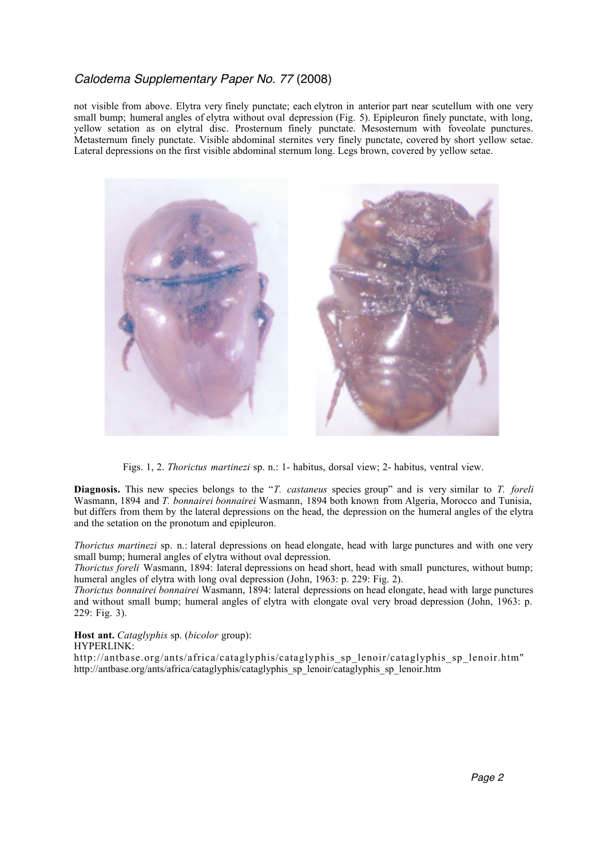## Calodema Supplementary Paper No. 77 (2008)

not visible from above. Elytra very finely punctate; each elytron in anterior part near scutellum with one very small bump; humeral angles of elytra without oval depression (Fig. 5). Epipleuron finely punctate, with long, yellow setation as on elytral disc. Prosternum finely punctate. Mesosternum with foveolate punctures. Metasternum finely punctate. Visible abdominal sternites very finely punctate, covered by short yellow setae. Lateral depressions on the first visible abdominal sternum long. Legs brown, covered by yellow setae.



Figs. 1, 2. *Thorictus martinezi* sp. n.: 1- habitus, dorsal view; 2- habitus, ventral view.

**Diagnosis.** This new species belongs to the "*T. castaneus* species group" and is very similar to *T. foreli*  Wasmann, 1894 and *T. bonnairei bonnairei* Wasmann, 1894 both known from Algeria, Morocco and Tunisia, but differs from them by the lateral depressions on the head, the depression on the humeral angles of the elytra and the setation on the pronotum and epipleuron.

*Thorictus martinezi* sp. n.: lateral depressions on head elongate, head with large punctures and with one very small bump; humeral angles of elytra without oval depression.

*Thorictus foreli* Wasmann, 1894: lateral depressions on head short, head with small punctures, without bump; humeral angles of elytra with long oval depression (John, 1963: p. 229: Fig. 2).

*Thorictus bonnairei bonnairei* Wasmann, 1894: lateral depressions on head elongate, head with large punctures and without small bump; humeral angles of elytra with elongate oval very broad depression (John, 1963: p. 229: Fig. 3).

**Host ant.** *Cataglyphis* sp. (*bicolor* group):

### HYPERLINK:

http://antbase.org/ants/africa/cataglyphis/cataglyphis\_sp\_lenoir/cataglyphis\_sp\_lenoir.htm" http://antbase.org/ants/africa/cataglyphis/cataglyphis\_sp\_lenoir/cataglyphis\_sp\_lenoir.htm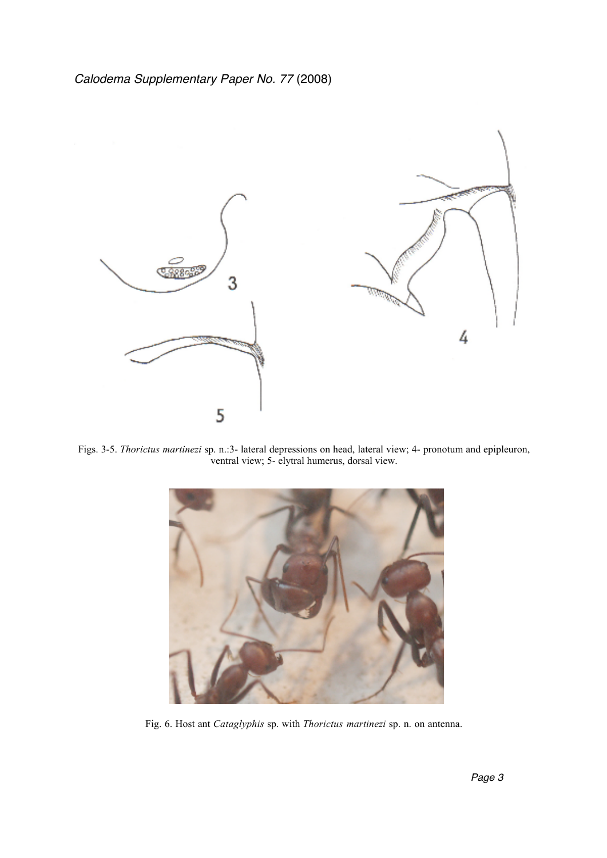

Figs. 3-5. *Thorictus martinezi* sp. n.:3- lateral depressions on head, lateral view; 4- pronotum and epipleuron, ventral view; 5- elytral humerus, dorsal view.



Fig. 6. Host ant *Cataglyphis* sp. with *Thorictus martinezi* sp. n. on antenna.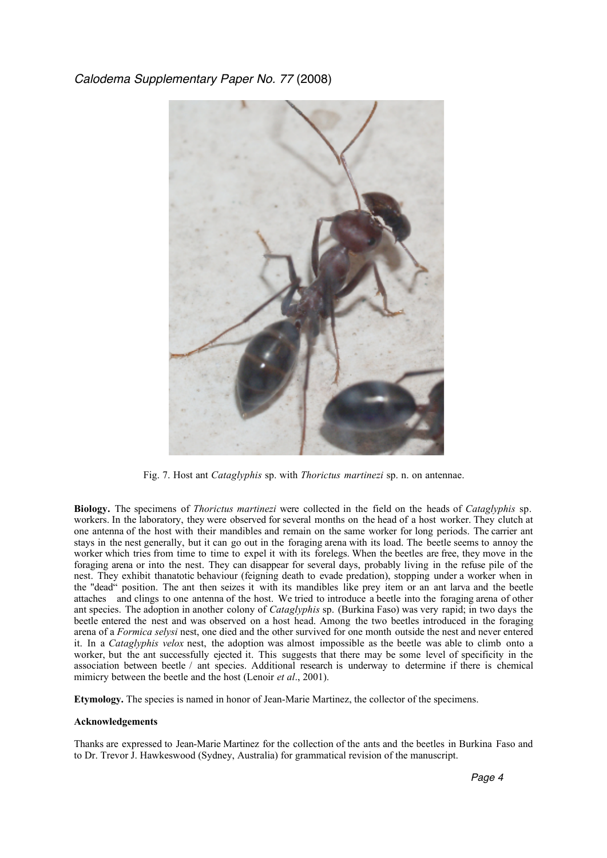## Calodema Supplementary Paper No. 77 (2008)



Fig. 7. Host ant *Cataglyphis* sp. with *Thorictus martinezi* sp. n. on antennae.

**Biology.** The specimens of *Thorictus martinezi* were collected in the field on the heads of *Cataglyphis* sp. workers. In the laboratory, they were observed for several months on the head of a host worker. They clutch at one antenna of the host with their mandibles and remain on the same worker for long periods. The carrier ant stays in the nest generally, but it can go out in the foraging arena with its load. The beetle seems to annoy the worker which tries from time to time to expel it with its forelegs. When the beetles are free, they move in the foraging arena or into the nest. They can disappear for several days, probably living in the refuse pile of the nest. They exhibit thanatotic behaviour (feigning death to evade predation), stopping under a worker when in the "dead" position. The ant then seizes it with its mandibles like prey item or an ant larva and the beetle attaches and clings to one antenna of the host. We tried to introduce a beetle into the foraging arena of other ant species. The adoption in another colony of *Cataglyphis* sp. (Burkina Faso) was very rapid; in two days the beetle entered the nest and was observed on a host head. Among the two beetles introduced in the foraging arena of a *Formica selysi* nest, one died and the other survived for one month outside the nest and never entered it. In a *Cataglyphis velox* nest, the adoption was almost impossible as the beetle was able to climb onto a worker, but the ant successfully ejected it. This suggests that there may be some level of specificity in the association between beetle / ant species. Additional research is underway to determine if there is chemical mimicry between the beetle and the host (Lenoir *et al*., 2001).

**Etymology.** The species is named in honor of Jean-Marie Martinez, the collector of the specimens.

### **Acknowledgements**

Thanks are expressed to Jean-Marie Martinez for the collection of the ants and the beetles in Burkina Faso and to Dr. Trevor J. Hawkeswood (Sydney, Australia) for grammatical revision of the manuscript.